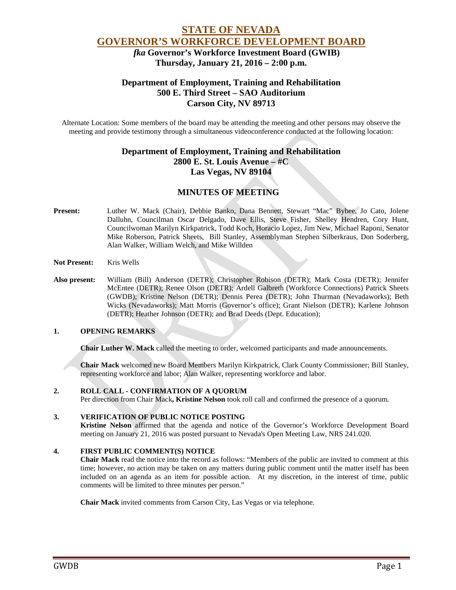# **STATE OF NEVADA GOVERNOR'S WORKFORCE DEVELOPMENT BOARD**

 *fka* **Governor's Workforce Investment Board (GWIB) Thursday, January 21, 2016 – 2:00 p.m.**

# **Department of Employment, Training and Rehabilitation 500 E. Third Street – SAO Auditorium Carson City, NV 89713**

Alternate Location: Some members of the board may be attending the meeting and other persons may observe the meeting and provide testimony through a simultaneous videoconference conducted at the following location:

# **Department of Employment, Training and Rehabilitation 2800 E. St. Louis Avenue – #C Las Vegas, NV 89104**

# **MINUTES OF MEETING**

- **Present:** Luther W. Mack (Chair), Debbie Banko, Dana Bennett, Stewart "Mac" Bybee, Jo Cato, Jolene Dalluhn, Councilman Oscar Delgado, Dave Ellis, Steve Fisher, Shelley Hendren, Cory Hunt, Councilwoman Marilyn Kirkpatrick, Todd Koch, Horacio Lopez, Jim New, Michael Raponi, Senator Mike Roberson, Patrick Sheets, Bill Stanley, Assemblyman Stephen Silberkraus, Don Soderberg, Alan Walker, William Welch, and Mike Willden
- **Not Present:** Kris Wells
- **Also present:** William (Bill) Anderson (DETR); Christopher Robison (DETR); Mark Costa (DETR); Jennifer McEntee (DETR); Renee Olson (DETR); Ardell Galbreth (Workforce Connections) Patrick Sheets (GWDB); Kristine Nelson (DETR); Dennis Perea (DETR); John Thurman (Nevadaworks); Beth Wicks (Nevadaworks); Matt Morris (Governor's office); Grant Nielson (DETR); Karlene Johnson (DETR); Heather Johnson (DETR); and Brad Deeds (Dept. Education);

## **1. OPENING REMARKS**

**Chair Luther W. Mack** called the meeting to order, welcomed participants and made announcements.

**Chair Mack** welcomed new Board Members Marilyn Kirkpatrick, Clark County Commissioner; Bill Stanley, representing workforce and labor; Alan Walker, representing workforce and labor.

## **2. ROLL CALL - CONFIRMATION OF A QUORUM**

Per direction from Chair Mack**, Kristine Nelson** took roll call and confirmed the presence of a quorum.

#### **3. VERIFICATION OF PUBLIC NOTICE POSTING**

**Kristine Nelson** affirmed that the agenda and notice of the Governor's Workforce Development Board meeting on January 21, 2016 was posted pursuant to Nevada's Open Meeting Law, NRS 241.020.

#### **4. FIRST PUBLIC COMMENT(S) NOTICE**

**Chair Mack** read the notice into the record as follows: "Members of the public are invited to comment at this time; however, no action may be taken on any matters during public comment until the matter itself has been included on an agenda as an item for possible action. At my discretion, in the interest of time, public comments will be limited to three minutes per person."

**Chair Mack** invited comments from Carson City, Las Vegas or via telephone.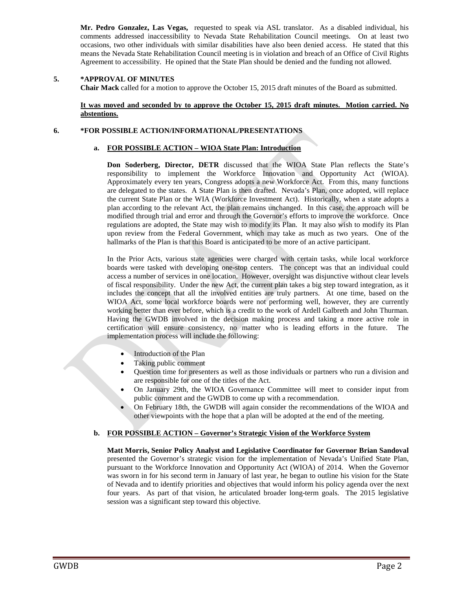**Mr. Pedro Gonzalez, Las Vegas,** requested to speak via ASL translator. As a disabled individual, his comments addressed inaccessibility to Nevada State Rehabilitation Council meetings. On at least two occasions, two other individuals with similar disabilities have also been denied access. He stated that this means the Nevada State Rehabilitation Council meeting is in violation and breach of an Office of Civil Rights Agreement to accessibility. He opined that the State Plan should be denied and the funding not allowed.

#### **5. \*APPROVAL OF MINUTES**

**Chair Mack** called for a motion to approve the October 15, 2015 draft minutes of the Board as submitted.

#### **It was moved and seconded by to approve the October 15, 2015 draft minutes. Motion carried. No abstentions.**

#### **6. \*FOR POSSIBLE ACTION/INFORMATIONAL/PRESENTATIONS**

#### **a. FOR POSSIBLE ACTION – WIOA State Plan: Introduction**

**Don Soderberg, Director, DETR** discussed that the WIOA State Plan reflects the State's responsibility to implement the Workforce Innovation and Opportunity Act (WIOA). Approximately every ten years, Congress adopts a new Workforce Act. From this, many functions are delegated to the states. A State Plan is then drafted. Nevada's Plan, once adopted, will replace the current State Plan or the WIA (Workforce Investment Act). Historically, when a state adopts a plan according to the relevant Act, the plan remains unchanged. In this case, the approach will be modified through trial and error and through the Governor's efforts to improve the workforce. Once regulations are adopted, the State may wish to modify its Plan. It may also wish to modify its Plan upon review from the Federal Government, which may take as much as two years. One of the hallmarks of the Plan is that this Board is anticipated to be more of an active participant.

In the Prior Acts, various state agencies were charged with certain tasks, while local workforce boards were tasked with developing one-stop centers. The concept was that an individual could access a number of services in one location. However, oversight was disjunctive without clear levels of fiscal responsibility. Under the new Act, the current plan takes a big step toward integration, as it includes the concept that all the involved entities are truly partners. At one time, based on the WIOA Act, some local workforce boards were not performing well, however, they are currently working better than ever before, which is a credit to the work of Ardell Galbreth and John Thurman. Having the GWDB involved in the decision making process and taking a more active role in certification will ensure consistency, no matter who is leading efforts in the future. The implementation process will include the following:

- Introduction of the Plan
- Taking public comment
- Question time for presenters as well as those individuals or partners who run a division and are responsible for one of the titles of the Act.
- On January 29th, the WIOA Governance Committee will meet to consider input from public comment and the GWDB to come up with a recommendation.
- On February 18th, the GWDB will again consider the recommendations of the WIOA and other viewpoints with the hope that a plan will be adopted at the end of the meeting.

#### **b. FOR POSSIBLE ACTION – Governor's Strategic Vision of the Workforce System**

**Matt Morris, Senior Policy Analyst and Legislative Coordinator for Governor Brian Sandoval**  presented the Governor's strategic vision for the implementation of Nevada's Unified State Plan, pursuant to the Workforce Innovation and Opportunity Act (WIOA) of 2014. When the Governor was sworn in for his second term in January of last year, he began to outline his vision for the State of Nevada and to identify priorities and objectives that would inform his policy agenda over the next four years. As part of that vision, he articulated broader long-term goals. The 2015 legislative session was a significant step toward this objective.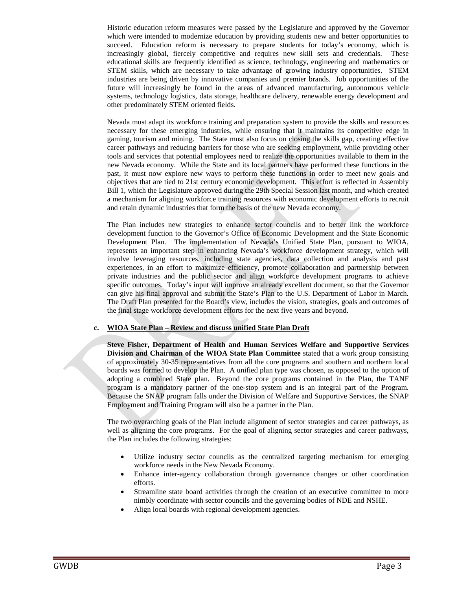Historic education reform measures were passed by the Legislature and approved by the Governor which were intended to modernize education by providing students new and better opportunities to succeed. Education reform is necessary to prepare students for today's economy, which is increasingly global, fiercely competitive and requires new skill sets and credentials. These educational skills are frequently identified as science, technology, engineering and mathematics or STEM skills, which are necessary to take advantage of growing industry opportunities. STEM industries are being driven by innovative companies and premier brands. Job opportunities of the future will increasingly be found in the areas of advanced manufacturing, autonomous vehicle systems, technology logistics, data storage, healthcare delivery, renewable energy development and other predominately STEM oriented fields.

Nevada must adapt its workforce training and preparation system to provide the skills and resources necessary for these emerging industries, while ensuring that it maintains its competitive edge in gaming, tourism and mining. The State must also focus on closing the skills gap, creating effective career pathways and reducing barriers for those who are seeking employment, while providing other tools and services that potential employees need to realize the opportunities available to them in the new Nevada economy. While the State and its local partners have performed these functions in the past, it must now explore new ways to perform these functions in order to meet new goals and objectives that are tied to 21st century economic development. This effort is reflected in Assembly Bill 1, which the Legislature approved during the 29th Special Session last month, and which created a mechanism for aligning workforce training resources with economic development efforts to recruit and retain dynamic industries that form the basis of the new Nevada economy.

The Plan includes new strategies to enhance sector councils and to better link the workforce development function to the Governor's Office of Economic Development and the State Economic Development Plan. The implementation of Nevada's Unified State Plan, pursuant to WIOA, represents an important step in enhancing Nevada's workforce development strategy, which will involve leveraging resources, including state agencies, data collection and analysis and past experiences, in an effort to maximize efficiency, promote collaboration and partnership between private industries and the public sector and align workforce development programs to achieve specific outcomes. Today's input will improve an already excellent document, so that the Governor can give his final approval and submit the State's Plan to the U.S. Department of Labor in March. The Draft Plan presented for the Board's view, includes the vision, strategies, goals and outcomes of the final stage workforce development efforts for the next five years and beyond.

#### **c. WIOA State Plan – Review and discuss unified State Plan Draft**

**Steve Fisher, Department of Health and Human Services Welfare and Supportive Services Division and Chairman of the WIOA State Plan Committee** stated that a work group consisting of approximately 30-35 representatives from all the core programs and southern and northern local boards was formed to develop the Plan. A unified plan type was chosen, as opposed to the option of adopting a combined State plan. Beyond the core programs contained in the Plan, the TANF program is a mandatory partner of the one-stop system and is an integral part of the Program. Because the SNAP program falls under the Division of Welfare and Supportive Services, the SNAP Employment and Training Program will also be a partner in the Plan.

The two overarching goals of the Plan include alignment of sector strategies and career pathways, as well as aligning the core programs. For the goal of aligning sector strategies and career pathways, the Plan includes the following strategies:

- Utilize industry sector councils as the centralized targeting mechanism for emerging workforce needs in the New Nevada Economy.
- Enhance inter-agency collaboration through governance changes or other coordination efforts.
- Streamline state board activities through the creation of an executive committee to more nimbly coordinate with sector councils and the governing bodies of NDE and NSHE.
- Align local boards with regional development agencies.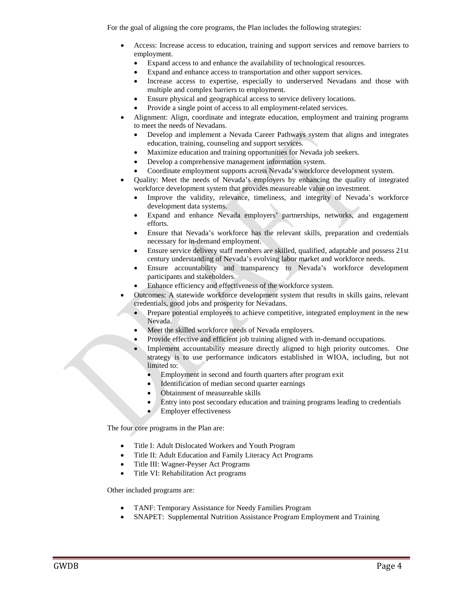For the goal of aligning the core programs, the Plan includes the following strategies:

- Access: Increase access to education, training and support services and remove barriers to employment.
	- Expand access to and enhance the availability of technological resources.
	- Expand and enhance access to transportation and other support services.
	- Increase access to expertise, especially to underserved Nevadans and those with multiple and complex barriers to employment.
	- Ensure physical and geographical access to service delivery locations.
	- Provide a single point of access to all employment-related services.
- Alignment: Align, coordinate and integrate education, employment and training programs to meet the needs of Nevadans.
	- Develop and implement a Nevada Career Pathways system that aligns and integrates education, training, counseling and support services.
	- Maximize education and training opportunities for Nevada job seekers.
	- Develop a comprehensive management information system.
	- Coordinate employment supports across Nevada's workforce development system.
- Quality: Meet the needs of Nevada's employers by enhancing the quality of integrated workforce development system that provides measureable value on investment.
	- Improve the validity, relevance, timeliness, and integrity of Nevada's workforce development data systems.
	- Expand and enhance Nevada employers' partnerships, networks, and engagement efforts.
	- Ensure that Nevada's workforce has the relevant skills, preparation and credentials necessary for in-demand employment.
	- Ensure service delivery staff members are skilled, qualified, adaptable and possess 21st century understanding of Nevada's evolving labor market and workforce needs.
	- Ensure accountability and transparency to Nevada's workforce development participants and stakeholders.
	- Enhance efficiency and effectiveness of the workforce system.
- Outcomes: A statewide workforce development system that results in skills gains, relevant credentials, good jobs and prosperity for Nevadans.
	- Prepare potential employees to achieve competitive, integrated employment in the new Nevada.
	- Meet the skilled workforce needs of Nevada employers.
	- Provide effective and efficient job training aligned with in-demand occupations.
	- Implement accountability measure directly aligned to high priority outcomes. One strategy is to use performance indicators established in WIOA, including, but not limited to:
		- Employment in second and fourth quarters after program exit
		- Identification of median second quarter earnings
		- Obtainment of measureable skills
		- Entry into post secondary education and training programs leading to credentials
		- **Employer effectiveness**

The four core programs in the Plan are:

- Title I: Adult Dislocated Workers and Youth Program
- Title II: Adult Education and Family Literacy Act Programs
- Title III: Wagner-Peyser Act Programs
- Title VI: Rehabilitation Act programs

Other included programs are:

- TANF: Temporary Assistance for Needy Families Program
- SNAPET: Supplemental Nutrition Assistance Program Employment and Training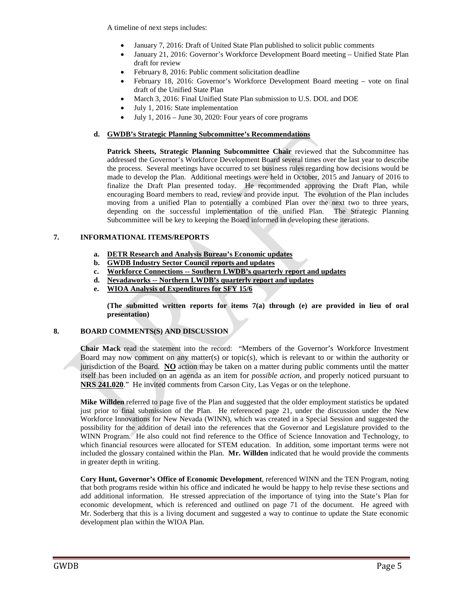A timeline of next steps includes:

- January 7, 2016: Draft of United State Plan published to solicit public comments
- January 21, 2016: Governor's Workforce Development Board meeting Unified State Plan draft for review
- February 8, 2016: Public comment solicitation deadline
- February 18, 2016: Governor's Workforce Development Board meeting vote on final draft of the Unified State Plan
- March 3, 2016: Final Unified State Plan submission to U.S. DOL and DOE
- July 1, 2016: State implementation
- July 1, 2016 June 30, 2020: Four years of core programs

### **d. GWDB's Strategic Planning Subcommittee's Recommendations**

**Patrick Sheets, Strategic Planning Subcommittee Chair** reviewed that the Subcommittee has addressed the Governor's Workforce Development Board several times over the last year to describe the process. Several meetings have occurred to set business rules regarding how decisions would be made to develop the Plan. Additional meetings were held in October, 2015 and January of 2016 to finalize the Draft Plan presented today. He recommended approving the Draft Plan, while encouraging Board members to read, review and provide input. The evolution of the Plan includes moving from a unified Plan to potentially a combined Plan over the next two to three years, depending on the successful implementation of the unified Plan. The Strategic Planning Subcommittee will be key to keeping the Board informed in developing these iterations.

### **7. INFORMATIONAL ITEMS/REPORTS**

- **a. DETR Research and Analysis Bureau's Economic updates**
- **b. GWDB Industry Sector Council reports and updates**
- **c. Workforce Connections -- Southern LWDB's quarterly report and updates**
- **d. Nevadaworks -- Northern LWDB's quarterly report and updates**
- **e. WIOA Analysis of Expenditures for SFY 15/6**

**(The submitted written reports for items 7(a) through (e) are provided in lieu of oral presentation)**

## **8. BOARD COMMENTS(S) AND DISCUSSION**

**Chair Mack** read the statement into the record: "Members of the Governor's Workforce Investment Board may now comment on any matter(s) or topic(s), which is relevant to or within the authority or jurisdiction of the Board. **NO** action may be taken on a matter during public comments until the matter itself has been included on an agenda as an item for *possible action*, and properly noticed pursuant to **[NRS 241.020](http://www.leg.state.nv.us/NRS/NRS-241.html%23NRS241Sec020)**." He invited comments from Carson City, Las Vegas or on the telephone.

**Mike Willden** referred to page five of the Plan and suggested that the older employment statistics be updated just prior to final submission of the Plan. He referenced page 21, under the discussion under the New Workforce Innovations for New Nevada (WINN), which was created in a Special Session and suggested the possibility for the addition of detail into the references that the Governor and Legislature provided to the WINN Program. He also could not find reference to the Office of Science Innovation and Technology, to which financial resources were allocated for STEM education. In addition, some important terms were not included the glossary contained within the Plan. **Mr. Willden** indicated that he would provide the comments in greater depth in writing.

**Cory Hunt, Governor's Office of Economic Development**, referenced WINN and the TEN Program, noting that both programs reside within his office and indicated he would be happy to help revise these sections and add additional information. He stressed appreciation of the importance of tying into the State's Plan for economic development, which is referenced and outlined on page 71 of the document. He agreed with Mr. Soderberg that this is a living document and suggested a way to continue to update the State economic development plan within the WIOA Plan.